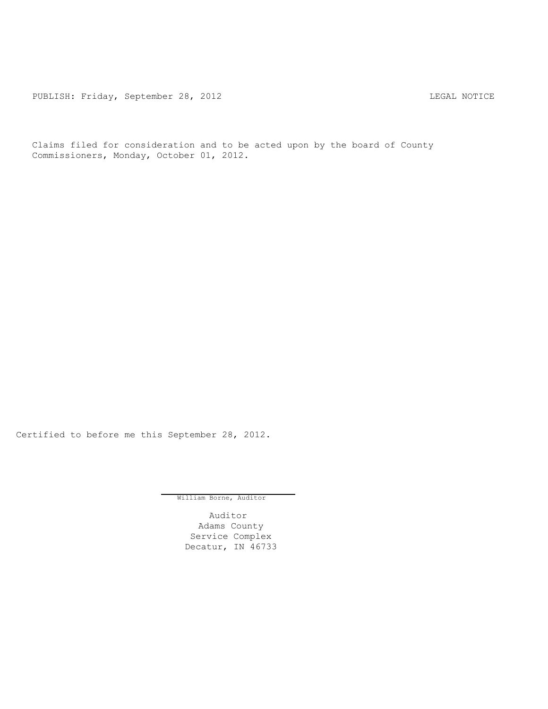PUBLISH: Friday, September 28, 2012 CUBLISH: Friday, September 28, 2012

Claims filed for consideration and to be acted upon by the board of County Commissioners, Monday, October 01, 2012.

Certified to before me this September 28, 2012.

William Borne, Auditor

Auditor Adams County Service Complex Decatur, IN 46733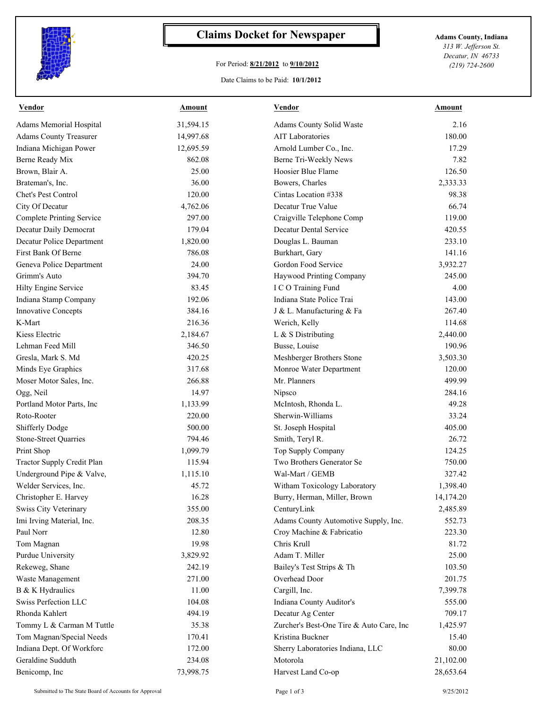

## **Claims Docket for Newspaper Adams County, Indiana**

## For Period: **8/21/2012** to **9/10/2012**

*Decatur, IN 46733*

*313 W. Jefferson St.*

*(219) 724-2600*

Date Claims to be Paid: **10/1/2012**

| <b>Vendor</b>                    | <b>Amount</b> | <b>Vendor</b>                            | <b>Amount</b> |
|----------------------------------|---------------|------------------------------------------|---------------|
| <b>Adams Memorial Hospital</b>   | 31,594.15     | Adams County Solid Waste                 | 2.16          |
| <b>Adams County Treasurer</b>    | 14,997.68     | <b>AIT Laboratories</b>                  | 180.00        |
| Indiana Michigan Power           | 12,695.59     | Arnold Lumber Co., Inc.                  | 17.29         |
| Berne Ready Mix                  | 862.08        | Berne Tri-Weekly News                    | 7.82          |
| Brown, Blair A.                  | 25.00         | Hoosier Blue Flame                       | 126.50        |
| Brateman's, Inc.                 | 36.00         | Bowers, Charles                          | 2,333.33      |
| Chet's Pest Control              | 120.00        | Cintas Location #338                     | 98.38         |
| City Of Decatur                  | 4,762.06      | Decatur True Value                       | 66.74         |
| <b>Complete Printing Service</b> | 297.00        | Craigville Telephone Comp                | 119.00        |
| Decatur Daily Democrat           | 179.04        | Decatur Dental Service                   | 420.55        |
| Decatur Police Department        | 1,820.00      | Douglas L. Bauman                        | 233.10        |
| First Bank Of Berne              | 786.08        | Burkhart, Gary                           | 141.16        |
| Geneva Police Department         | 24.00         | Gordon Food Service                      | 3,932.27      |
| Grimm's Auto                     | 394.70        | Haywood Printing Company                 | 245.00        |
| <b>Hilty Engine Service</b>      | 83.45         | I C O Training Fund                      | 4.00          |
| Indiana Stamp Company            | 192.06        | Indiana State Police Trai                | 143.00        |
| <b>Innovative Concepts</b>       | 384.16        | J & L. Manufacturing & Fa                | 267.40        |
| K-Mart                           | 216.36        | Werich, Kelly                            | 114.68        |
| Kiess Electric                   | 2,184.67      | L & S Distributing                       | 2,440.00      |
| Lehman Feed Mill                 | 346.50        | Busse, Louise                            | 190.96        |
| Gresla, Mark S. Md               | 420.25        | Meshberger Brothers Stone                | 3,503.30      |
| Minds Eye Graphics               | 317.68        | Monroe Water Department                  | 120.00        |
| Moser Motor Sales, Inc.          | 266.88        | Mr. Planners                             | 499.99        |
| Ogg, Neil                        | 14.97         |                                          | 284.16        |
|                                  |               | Nipsco                                   | 49.28         |
| Portland Motor Parts, Inc        | 1,133.99      | McIntosh, Rhonda L.                      |               |
| Roto-Rooter                      | 220.00        | Sherwin-Williams                         | 33.24         |
| <b>Shifferly Dodge</b>           | 500.00        | St. Joseph Hospital                      | 405.00        |
| <b>Stone-Street Quarries</b>     | 794.46        | Smith, Teryl R.                          | 26.72         |
| Print Shop                       | 1,099.79      | Top Supply Company                       | 124.25        |
| Tractor Supply Credit Plan       | 115.94        | Two Brothers Generator Se                | 750.00        |
| Underground Pipe & Valve,        | 1,115.10      | Wal-Mart / GEMB                          | 327.42        |
| Welder Services, Inc.            | 45.72         | Witham Toxicology Laboratory             | 1,398.40      |
| Christopher E. Harvey            | 16.28         | Burry, Herman, Miller, Brown             | 14,174.20     |
| <b>Swiss City Veterinary</b>     | 355.00        | CenturyLink                              | 2,485.89      |
| Imi Irving Material, Inc.        | 208.35        | Adams County Automotive Supply, Inc.     | 552.73        |
| Paul Norr                        | 12.80         | Croy Machine & Fabricatio                | 223.30        |
| Tom Magnan                       | 19.98         | Chris Krull                              | 81.72         |
| Purdue University                | 3,829.92      | Adam T. Miller                           | 25.00         |
| Rekeweg, Shane                   | 242.19        | Bailey's Test Strips & Th                | 103.50        |
| Waste Management                 | 271.00        | Overhead Door                            | 201.75        |
| B & K Hydraulics                 | 11.00         | Cargill, Inc.                            | 7,399.78      |
| Swiss Perfection LLC             | 104.08        | Indiana County Auditor's                 | 555.00        |
| Rhonda Kahlert                   | 494.19        | Decatur Ag Center                        | 709.17        |
| Tommy L & Carman M Tuttle        | 35.38         | Zurcher's Best-One Tire & Auto Care, Inc | 1,425.97      |
| Tom Magnan/Special Needs         | 170.41        | Kristina Buckner                         | 15.40         |
| Indiana Dept. Of Workforc        | 172.00        | Sherry Laboratories Indiana, LLC         | 80.00         |
| Geraldine Sudduth                | 234.08        | Motorola                                 | 21,102.00     |
| Benicomp, Inc                    | 73,998.75     | Harvest Land Co-op                       | 28,653.64     |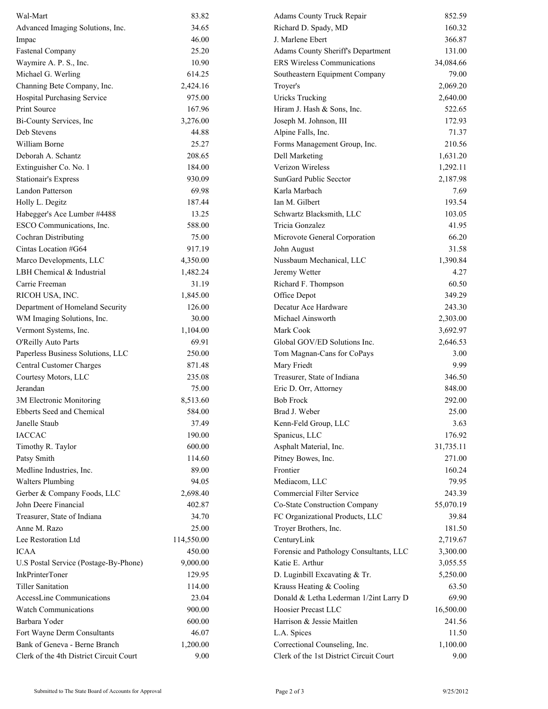| Wal-Mart                                | 83.82      | Adams County Truck Repair               | 852.59    |
|-----------------------------------------|------------|-----------------------------------------|-----------|
| Advanced Imaging Solutions, Inc.        | 34.65      | Richard D. Spady, MD                    | 160.32    |
| Impac                                   | 46.00      | J. Marlene Ebert                        | 366.87    |
| <b>Fastenal Company</b>                 | 25.20      | Adams County Sheriff's Department       | 131.00    |
| Waymire A. P. S., Inc.                  | 10.90      | <b>ERS Wireless Communications</b>      | 34,084.66 |
| Michael G. Werling                      | 614.25     | Southeastern Equipment Company          | 79.00     |
| Channing Bete Company, Inc.             | 2,424.16   | Troyer's                                | 2,069.20  |
| Hospital Purchasing Service             | 975.00     | <b>Uricks Trucking</b>                  | 2,640.00  |
| Print Source                            | 167.96     | Hiram J. Hash & Sons, Inc.              | 522.65    |
| Bi-County Services, Inc                 | 3,276.00   | Joseph M. Johnson, III                  | 172.93    |
| Deb Stevens                             | 44.88      | Alpine Falls, Inc.                      | 71.37     |
| William Borne                           | 25.27      | Forms Management Group, Inc.            | 210.56    |
| Deborah A. Schantz                      | 208.65     | Dell Marketing                          | 1,631.20  |
| Extinguisher Co. No. 1                  | 184.00     | Verizon Wireless                        | 1,292.11  |
| <b>Stationair's Express</b>             | 930.09     | SunGard Public Secctor                  | 2,187.98  |
| <b>Landon Patterson</b>                 | 69.98      | Karla Marbach                           | 7.69      |
| Holly L. Degitz                         | 187.44     | Ian M. Gilbert                          | 193.54    |
| Habegger's Ace Lumber #4488             | 13.25      | Schwartz Blacksmith, LLC                | 103.05    |
| ESCO Communications, Inc.               | 588.00     | Tricia Gonzalez                         | 41.95     |
| Cochran Distributing                    | 75.00      | Microvote General Corporation           | 66.20     |
| Cintas Location #G64                    | 917.19     | John August                             | 31.58     |
| Marco Developments, LLC                 | 4,350.00   | Nussbaum Mechanical, LLC                | 1,390.84  |
| LBH Chemical & Industrial               | 1,482.24   | Jeremy Wetter                           | 4.27      |
| Carrie Freeman                          | 31.19      | Richard F. Thompson                     | 60.50     |
| RICOH USA, INC.                         | 1,845.00   | Office Depot                            | 349.29    |
| Department of Homeland Security         | 126.00     | Decatur Ace Hardware                    | 243.30    |
| WM Imaging Solutions, Inc.              | 30.00      | Michael Ainsworth                       | 2,303.00  |
| Vermont Systems, Inc.                   | 1,104.00   | Mark Cook                               | 3,692.97  |
| O'Reilly Auto Parts                     | 69.91      | Global GOV/ED Solutions Inc.            | 2,646.53  |
| Paperless Business Solutions, LLC       | 250.00     | Tom Magnan-Cans for CoPays              | 3.00      |
| Central Customer Charges                | 871.48     | Mary Friedt                             | 9.99      |
| Courtesy Motors, LLC                    | 235.08     | Treasurer, State of Indiana             | 346.50    |
| Jerandan                                | 75.00      | Eric D. Orr, Attorney                   | 848.00    |
| 3M Electronic Monitoring                | 8,513.60   | <b>Bob Frock</b>                        | 292.00    |
| Ebberts Seed and Chemical               | 584.00     | Brad J. Weber                           | 25.00     |
| Janelle Staub                           | 37.49      | Kenn-Feld Group, LLC                    | 3.63      |
| <b>IACCAC</b>                           | 190.00     | Spanicus, LLC                           | 176.92    |
| Timothy R. Taylor                       | 600.00     | Asphalt Material, Inc.                  | 31,735.11 |
| Patsy Smith                             | 114.60     | Pitney Bowes, Inc.                      | 271.00    |
| Medline Industries, Inc.                | 89.00      | Frontier                                | 160.24    |
| <b>Walters Plumbing</b>                 | 94.05      | Mediacom, LLC                           | 79.95     |
|                                         |            | Commercial Filter Service               |           |
| Gerber & Company Foods, LLC             | 2,698.40   |                                         | 243.39    |
| John Deere Financial                    | 402.87     | Co-State Construction Company           | 55,070.19 |
| Treasurer, State of Indiana             | 34.70      | FC Organizational Products, LLC         | 39.84     |
| Anne M. Razo                            | 25.00      | Troyer Brothers, Inc.                   | 181.50    |
| Lee Restoration Ltd                     | 114,550.00 | CenturyLink                             | 2,719.67  |
| <b>ICAA</b>                             | 450.00     | Forensic and Pathology Consultants, LLC | 3,300.00  |
| U.S Postal Service (Postage-By-Phone)   | 9,000.00   | Katie E. Arthur                         | 3,055.55  |
| <b>InkPrinterToner</b>                  | 129.95     | D. Luginbill Excavating & Tr.           | 5,250.00  |
| <b>Tiller Sanitation</b>                | 114.00     | Krauss Heating & Cooling                | 63.50     |
| AccessLine Communications               | 23.04      | Donald & Letha Lederman 1/2int Larry D  | 69.90     |
| <b>Watch Communications</b>             | 900.00     | Hoosier Precast LLC                     | 16,500.00 |
| Barbara Yoder                           | 600.00     | Harrison & Jessie Maitlen               | 241.56    |
| Fort Wayne Derm Consultants             | 46.07      | L.A. Spices                             | 11.50     |
| Bank of Geneva - Berne Branch           | 1,200.00   | Correctional Counseling, Inc.           | 1,100.00  |
| Clerk of the 4th District Circuit Court | 9.00       | Clerk of the 1st District Circuit Court | 9.00      |